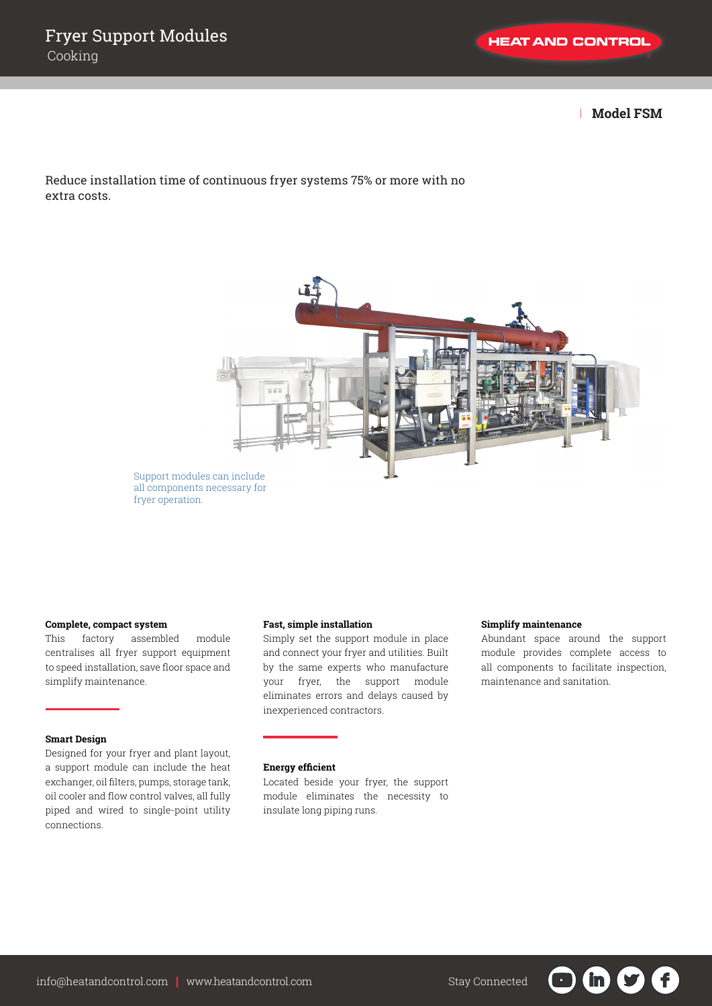| **Model FSM**

Reduce installation time of continuous fryer systems 75% or more with no extra costs.



Support modules can include all components necessary for fryer operation.

### **Complete, compact system**

This factory assembled module centralises all fryer support equipment to speed installation, save floor space and simplify maintenance.

## **Smart Design**

Designed for your fryer and plant layout, a support module can include the heat exchanger, oil filters, pumps, storage tank, oil cooler and flow control valves, all fully piped and wired to single-point utility connections.

### **Fast, simple installation**

Simply set the support module in place and connect your fryer and utilities. Built by the same experts who manufacture your fryer, the support module eliminates errors and delays caused by inexperienced contractors.

**Simplify maintenance**

module provides complete access to all components to facilitate inspection, maintenance and sanitation.

F

**in** 

Abundant space around the support

### **Energy efficient**

Located beside your fryer, the support module eliminates the necessity to insulate long piping runs.